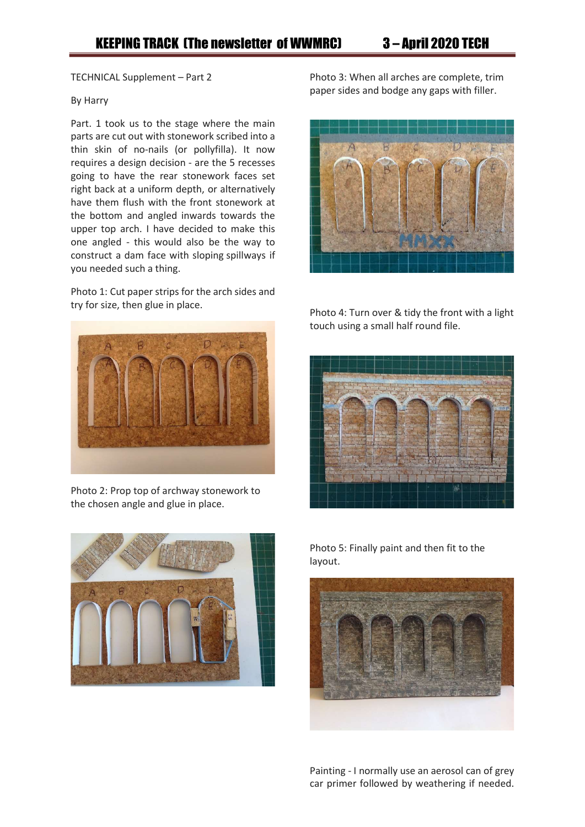TECHNICAL Supplement – Part 2

## By Harry

Part. 1 took us to the stage where the main parts are cut out with stonework scribed into a thin skin of no-nails (or pollyfilla). It now requires a design decision - are the 5 recesses going to have the rear stonework faces set right back at a uniform depth, or alternatively have them flush with the front stonework at the bottom and angled inwards towards the upper top arch. I have decided to make this one angled - this would also be the way to construct a dam face with sloping spillways if you needed such a thing.

Photo 1: Cut paper strips for the arch sides and try for size, then glue in place.



Photo 2: Prop top of archway stonework to the chosen angle and glue in place.



Photo 3: When all arches are complete, trim paper sides and bodge any gaps with filler.



Photo 4: Turn over & tidy the front with a light touch using a small half round file.



Photo 5: Finally paint and then fit to the layout.



Painting - I normally use an aerosol can of grey car primer followed by weathering if needed.